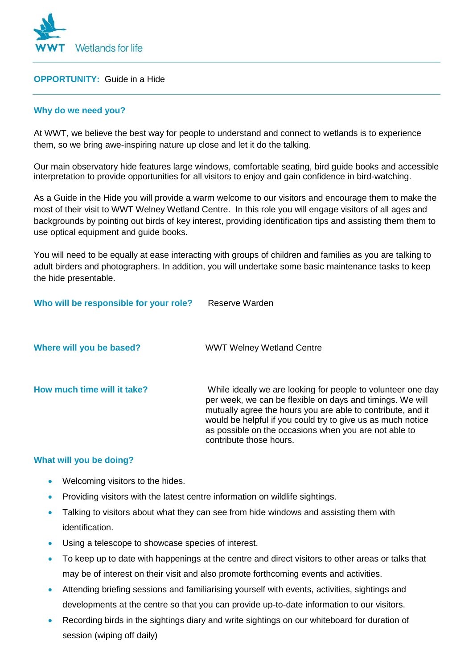

### **OPPORTUNITY:** Guide in a Hide

## **Why do we need you?**

At WWT, we believe the best way for people to understand and connect to wetlands is to experience them, so we bring awe-inspiring nature up close and let it do the talking.

Our main observatory hide features large windows, comfortable seating, bird guide books and accessible interpretation to provide opportunities for all visitors to enjoy and gain confidence in bird-watching.

As a Guide in the Hide you will provide a warm welcome to our visitors and encourage them to make the most of their visit to WWT Welney Wetland Centre. In this role you will engage visitors of all ages and backgrounds by pointing out birds of key interest, providing identification tips and assisting them them to use optical equipment and guide books.

You will need to be equally at ease interacting with groups of children and families as you are talking to adult birders and photographers. In addition, you will undertake some basic maintenance tasks to keep the hide presentable.

# **Who will be responsible for your role?** Reserve Warden

| Where will you be based?    | <b>WWT Welney Wetland Centre</b>                                                                                                                                                                                                                                                                                                            |
|-----------------------------|---------------------------------------------------------------------------------------------------------------------------------------------------------------------------------------------------------------------------------------------------------------------------------------------------------------------------------------------|
| How much time will it take? | While ideally we are looking for people to volunteer one day<br>per week, we can be flexible on days and timings. We will<br>mutually agree the hours you are able to contribute, and it<br>would be helpful if you could try to give us as much notice<br>as possible on the occasions when you are not able to<br>contribute those hours. |

#### **What will you be doing?**

- Welcoming visitors to the hides.
- Providing visitors with the latest centre information on wildlife sightings.
- Talking to visitors about what they can see from hide windows and assisting them with identification.
- Using a telescope to showcase species of interest.
- To keep up to date with happenings at the centre and direct visitors to other areas or talks that may be of interest on their visit and also promote forthcoming events and activities.
- Attending briefing sessions and familiarising yourself with events, activities, sightings and developments at the centre so that you can provide up-to-date information to our visitors.
- Recording birds in the sightings diary and write sightings on our whiteboard for duration of session (wiping off daily)